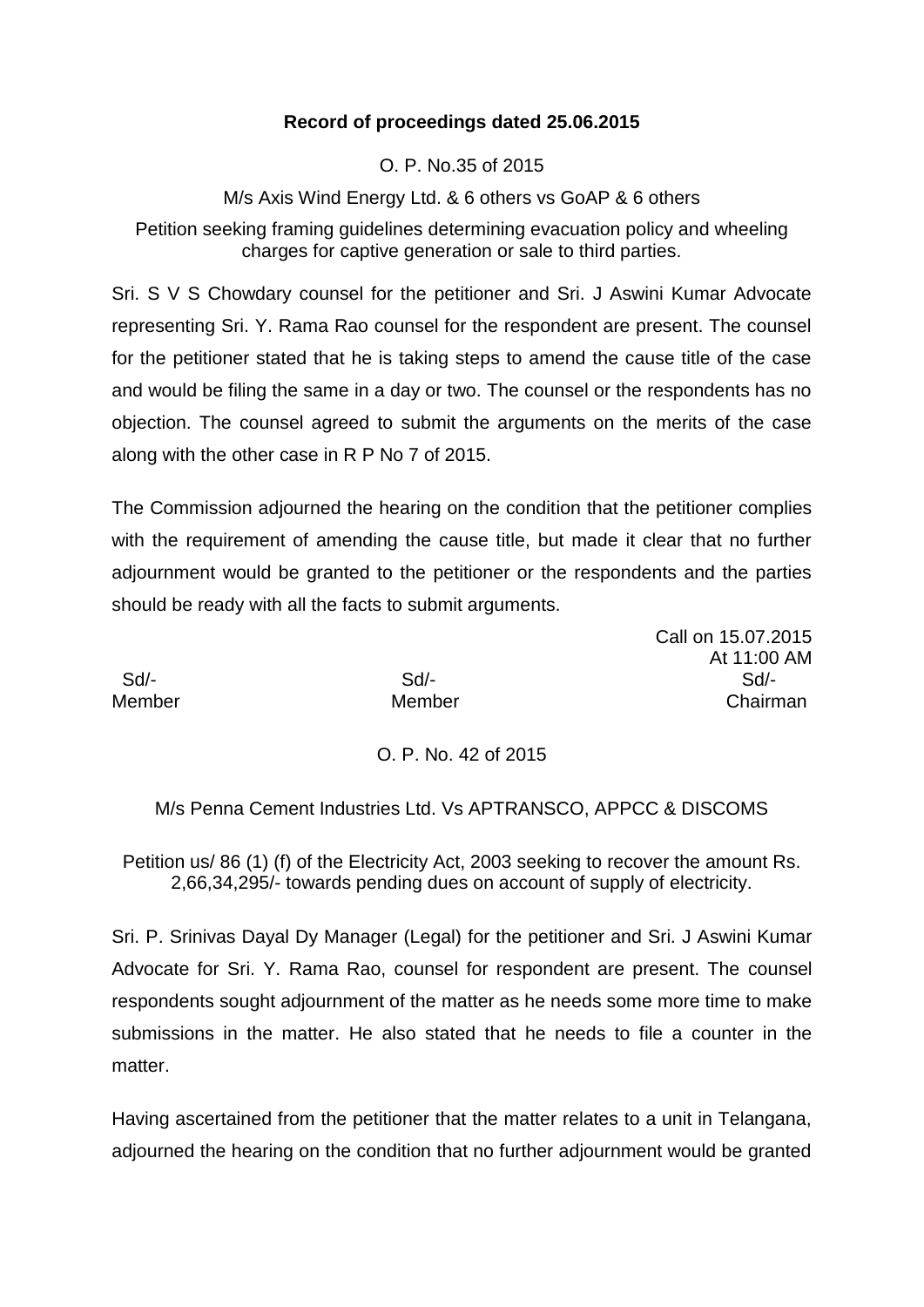## **Record of proceedings dated 25.06.2015**

O. P. No.35 of 2015

M/s Axis Wind Energy Ltd. & 6 others vs GoAP & 6 others

Petition seeking framing guidelines determining evacuation policy and wheeling charges for captive generation or sale to third parties.

Sri. S V S Chowdary counsel for the petitioner and Sri. J Aswini Kumar Advocate representing Sri. Y. Rama Rao counsel for the respondent are present. The counsel for the petitioner stated that he is taking steps to amend the cause title of the case and would be filing the same in a day or two. The counsel or the respondents has no objection. The counsel agreed to submit the arguments on the merits of the case along with the other case in R P No 7 of 2015.

The Commission adjourned the hearing on the condition that the petitioner complies with the requirement of amending the cause title, but made it clear that no further adjournment would be granted to the petitioner or the respondents and the parties should be ready with all the facts to submit arguments.

Call on 15.07.2015 At 11:00 AM Sd/- Sd/- Sd/- Member Member Chairman

O. P. No. 42 of 2015

M/s Penna Cement Industries Ltd. Vs APTRANSCO, APPCC & DISCOMS

Petition us/ 86 (1) (f) of the Electricity Act, 2003 seeking to recover the amount Rs. 2,66,34,295/- towards pending dues on account of supply of electricity.

Sri. P. Srinivas Dayal Dy Manager (Legal) for the petitioner and Sri. J Aswini Kumar Advocate for Sri. Y. Rama Rao, counsel for respondent are present. The counsel respondents sought adjournment of the matter as he needs some more time to make submissions in the matter. He also stated that he needs to file a counter in the matter.

Having ascertained from the petitioner that the matter relates to a unit in Telangana, adjourned the hearing on the condition that no further adjournment would be granted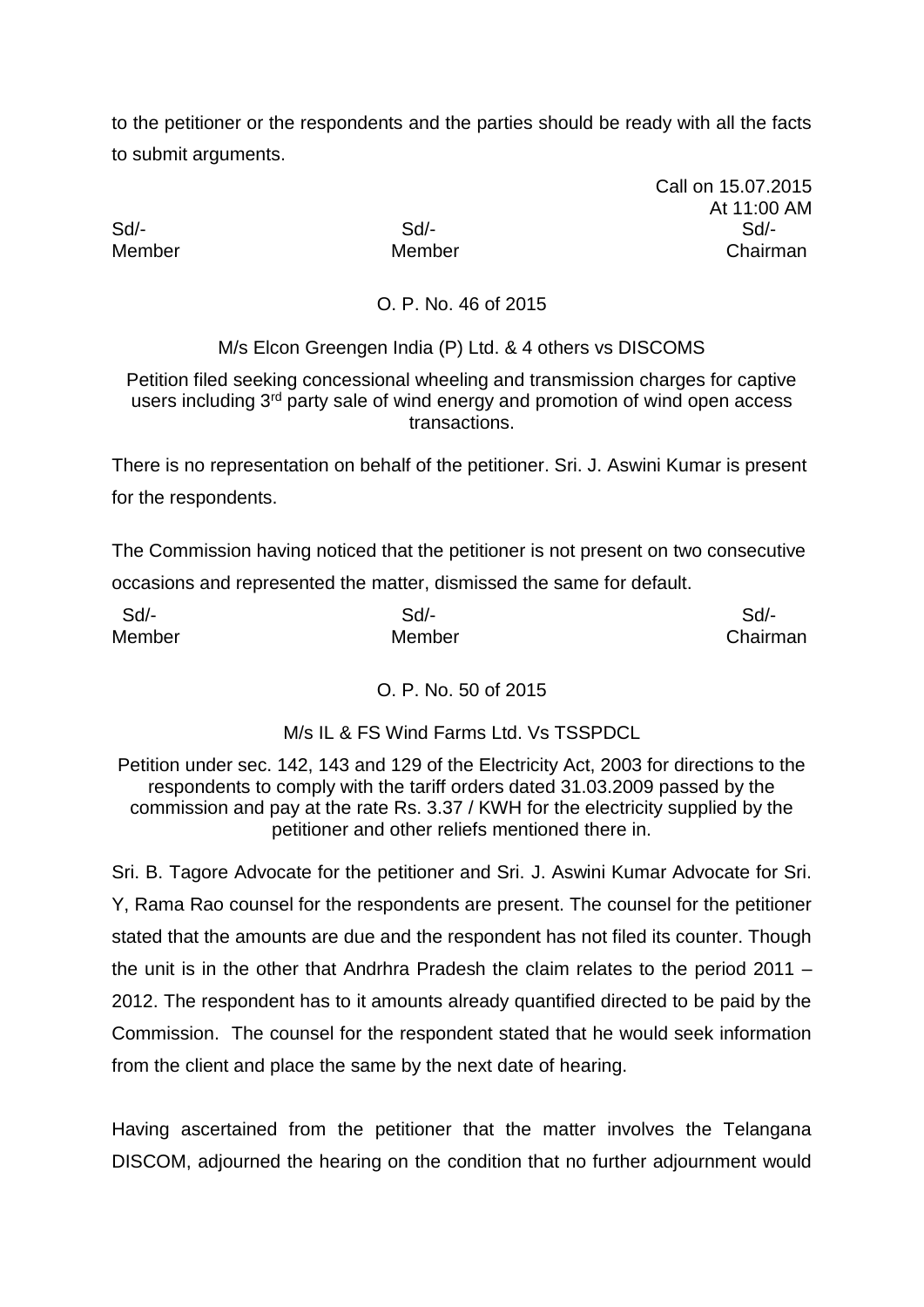to the petitioner or the respondents and the parties should be ready with all the facts to submit arguments.

Call on 15.07.2015 At 11:00 AM Sd/- Sd/- Sd/- Member Member Chairman

O. P. No. 46 of 2015

M/s Elcon Greengen India (P) Ltd. & 4 others vs DISCOMS

Petition filed seeking concessional wheeling and transmission charges for captive users including 3<sup>rd</sup> party sale of wind energy and promotion of wind open access transactions.

There is no representation on behalf of the petitioner. Sri. J. Aswini Kumar is present for the respondents.

The Commission having noticed that the petitioner is not present on two consecutive occasions and represented the matter, dismissed the same for default.

| Sd/-   | Sd/-   | Sd       |
|--------|--------|----------|
| Member | Member | Chairman |

## O. P. No. 50 of 2015

## M/s IL & FS Wind Farms Ltd. Vs TSSPDCL

Petition under sec. 142, 143 and 129 of the Electricity Act, 2003 for directions to the respondents to comply with the tariff orders dated 31.03.2009 passed by the commission and pay at the rate Rs. 3.37 / KWH for the electricity supplied by the petitioner and other reliefs mentioned there in.

Sri. B. Tagore Advocate for the petitioner and Sri. J. Aswini Kumar Advocate for Sri. Y, Rama Rao counsel for the respondents are present. The counsel for the petitioner stated that the amounts are due and the respondent has not filed its counter. Though the unit is in the other that Andrhra Pradesh the claim relates to the period 2011 – 2012. The respondent has to it amounts already quantified directed to be paid by the Commission. The counsel for the respondent stated that he would seek information from the client and place the same by the next date of hearing.

Having ascertained from the petitioner that the matter involves the Telangana DISCOM, adjourned the hearing on the condition that no further adjournment would